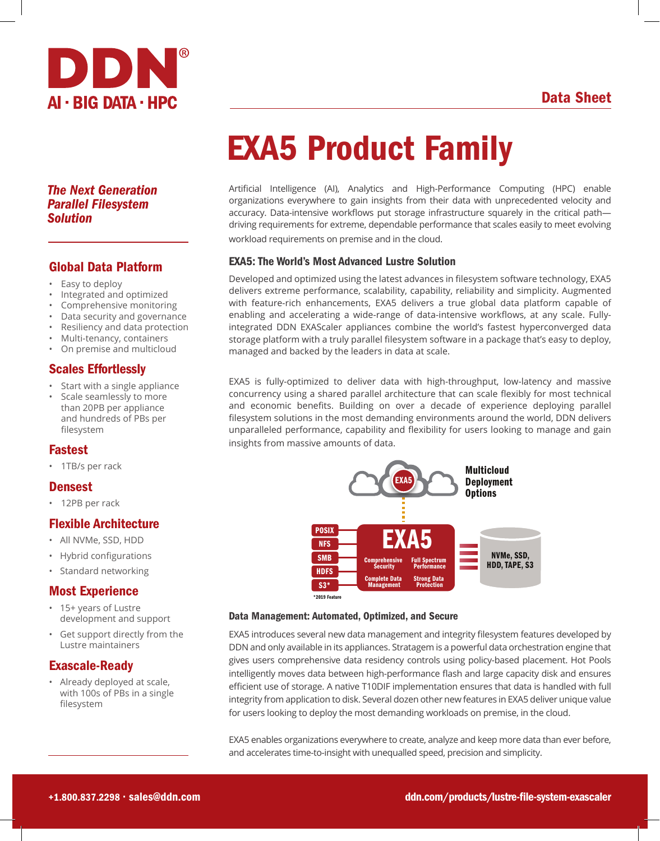



### *The Next Generation Parallel Filesystem Solution*

# Global Data Platform

- Easy to deploy
- Integrated and optimized
- Comprehensive monitoring
- Data security and governance
- Resiliency and data protection
- Multi-tenancy, containers
- On premise and multicloud

## Scales Effortlessly

- Start with a single appliance
- Scale seamlessly to more than 20PB per appliance and hundreds of PBs per filesystem

### Fastest

• 1TB/s per rack

#### Densest

• 12PB per rack

### Flexible Architecture

- All NVMe, SSD, HDD
- Hybrid configurations
- Standard networking

### Most Experience

- 15+ years of Lustre development and support
- Get support directly from the Lustre maintainers

# Exascale-Ready

• Already deployed at scale, with 100s of PBs in a single filesystem

# EXA5 Product Family

Artificial Intelligence (AI), Analytics and High-Performance Computing (HPC) enable organizations everywhere to gain insights from their data with unprecedented velocity and accuracy. Data-intensive workflows put storage infrastructure squarely in the critical path driving requirements for extreme, dependable performance that scales easily to meet evolving workload requirements on premise and in the cloud.

#### EXA5: The World's Most Advanced Lustre Solution

Developed and optimized using the latest advances in filesystem software technology, EXA5 delivers extreme performance, scalability, capability, reliability and simplicity. Augmented with feature-rich enhancements, EXA5 delivers a true global data platform capable of enabling and accelerating a wide-range of data-intensive workflows, at any scale. Fullyintegrated DDN EXAScaler appliances combine the world's fastest hyperconverged data storage platform with a truly parallel filesystem software in a package that's easy to deploy, managed and backed by the leaders in data at scale.

EXA5 is fully-optimized to deliver data with high-throughput, low-latency and massive concurrency using a shared parallel architecture that can scale flexibly for most technical and economic benefits. Building on over a decade of experience deploying parallel filesystem solutions in the most demanding environments around the world, DDN delivers unparalleled performance, capability and flexibility for users looking to manage and gain insights from massive amounts of data.



#### Data Management: Automated, Optimized, and Secure

EXA5 introduces several new data management and integrity filesystem features developed by DDN and only available in its appliances. Stratagem is a powerful data orchestration engine that gives users comprehensive data residency controls using policy-based placement. Hot Pools intelligently moves data between high-performance flash and large capacity disk and ensures efficient use of storage. A native T10DIF implementation ensures that data is handled with full integrity from application to disk. Several dozen other new features in EXA5 deliver unique value for users looking to deploy the most demanding workloads on premise, in the cloud.

EXA5 enables organizations everywhere to create, analyze and keep more data than ever before, and accelerates time-to-insight with unequalled speed, precision and simplicity.